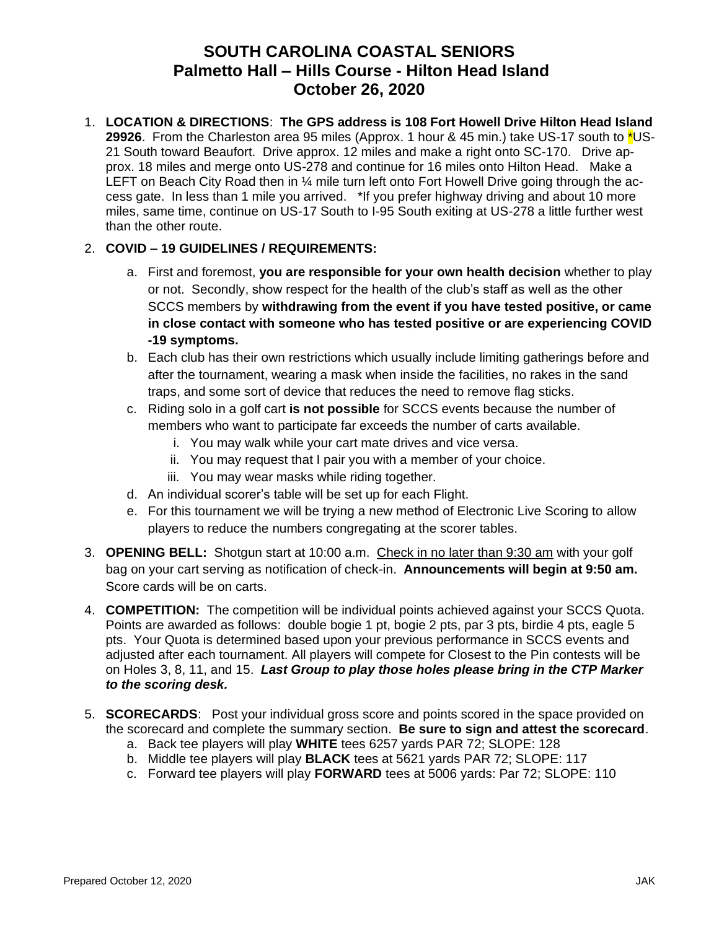## **SOUTH CAROLINA COASTAL SENIORS Palmetto Hall – Hills Course - Hilton Head Island October 26, 2020**

1. **LOCATION & DIRECTIONS**: **The GPS address is 108 Fort Howell Drive Hilton Head Island 29926**. From the Charleston area 95 miles (Approx. 1 hour & 45 min.) take US-17 south to \*US-21 South toward Beaufort. Drive approx. 12 miles and make a right onto SC-170. Drive approx. 18 miles and merge onto US-278 and continue for 16 miles onto Hilton Head. Make a LEFT on Beach City Road then in 1/4 mile turn left onto Fort Howell Drive going through the access gate. In less than 1 mile you arrived. \*If you prefer highway driving and about 10 more miles, same time, continue on US-17 South to I-95 South exiting at US-278 a little further west than the other route.

## 2. **COVID – 19 GUIDELINES / REQUIREMENTS:**

- a. First and foremost, **you are responsible for your own health decision** whether to play or not. Secondly, show respect for the health of the club's staff as well as the other SCCS members by **withdrawing from the event if you have tested positive, or came in close contact with someone who has tested positive or are experiencing COVID -19 symptoms.**
- b. Each club has their own restrictions which usually include limiting gatherings before and after the tournament, wearing a mask when inside the facilities, no rakes in the sand traps, and some sort of device that reduces the need to remove flag sticks.
- c. Riding solo in a golf cart **is not possible** for SCCS events because the number of members who want to participate far exceeds the number of carts available.
	- i. You may walk while your cart mate drives and vice versa.
	- ii. You may request that I pair you with a member of your choice.
	- iii. You may wear masks while riding together.
- d. An individual scorer's table will be set up for each Flight.
- e. For this tournament we will be trying a new method of Electronic Live Scoring to allow players to reduce the numbers congregating at the scorer tables.
- 3. **OPENING BELL:** Shotgun start at 10:00 a.m. Check in no later than 9:30 am with your golf bag on your cart serving as notification of check-in. **Announcements will begin at 9:50 am.**  Score cards will be on carts.
- 4. **COMPETITION:** The competition will be individual points achieved against your SCCS Quota. Points are awarded as follows: double bogie 1 pt, bogie 2 pts, par 3 pts, birdie 4 pts, eagle 5 pts. Your Quota is determined based upon your previous performance in SCCS events and adjusted after each tournament. All players will compete for Closest to the Pin contests will be on Holes 3, 8, 11, and 15. *Last Group to play those holes please bring in the CTP Marker to the scoring desk.*
- 5. **SCORECARDS**: Post your individual gross score and points scored in the space provided on the scorecard and complete the summary section. **Be sure to sign and attest the scorecard**.
	- a. Back tee players will play **WHITE** tees 6257 yards PAR 72; SLOPE: 128
	- b. Middle tee players will play **BLACK** tees at 5621 yards PAR 72; SLOPE: 117
	- c. Forward tee players will play **FORWARD** tees at 5006 yards: Par 72; SLOPE: 110